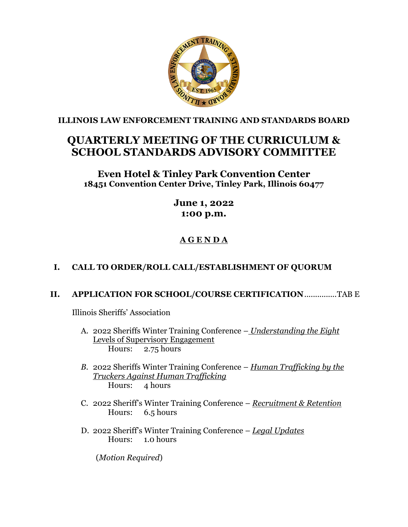

**ILLINOIS LAW ENFORCEMENT TRAINING AND STANDARDS BOARD**

# **QUARTERLY MEETING OF THE CURRICULUM & SCHOOL STANDARDS ADVISORY COMMITTEE**

## **Even Hotel & Tinley Park Convention Center 18451 Convention Center Drive, Tinley Park, Illinois 60477**

# **June 1, 2022 1:00 p.m.**

# **A G E N D A**

# **I. CALL TO ORDER/ROLL CALL/ESTABLISHMENT OF QUORUM**

## **II. APPLICATION FOR SCHOOL/COURSE CERTIFICATION**...............TAB E

Illinois Sheriffs' Association

- A. 2022 Sheriffs Winter Training Conference *Understanding the Eight* Levels of Supervisory Engagement<br>Hours: 2.75 hours 2.75 hours
- *B.* 2022 Sheriffs Winter Training Conference *Human Trafficking by the Truckers Against Human Trafficking* Hours: 4 hours
- C. 2022 Sheriff's Winter Training Conference *Recruitment & Retention* Hours: 6.5 hours
- D. 2022 Sheriff's Winter Training Conference *Legal Updates* Hours: 1.0 hours

(*Motion Required*)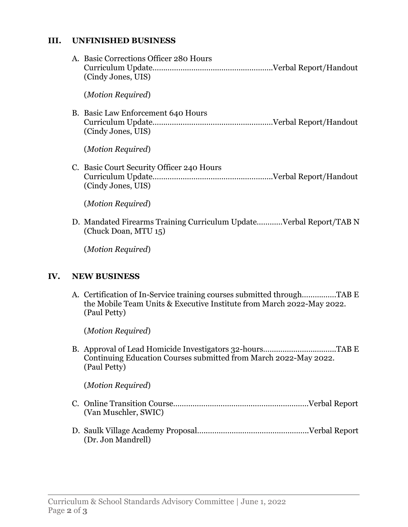#### **III. UNFINISHED BUSINESS**

| A. Basic Corrections Officer 280 Hours<br>(Cindy Jones, UIS)                               |
|--------------------------------------------------------------------------------------------|
| (Motion Required)                                                                          |
| B. Basic Law Enforcement 640 Hours<br>(Cindy Jones, UIS)                                   |
| (Motion Required)                                                                          |
| C. Basic Court Security Officer 240 Hours<br>(Cindy Jones, UIS)                            |
| (Motion Required)                                                                          |
| D. Mandated Firearms Training Curriculum UpdateVerbal Report/TAB N<br>(Chuck Doan, MTU 15) |
| (Motion Required)                                                                          |

## **IV. NEW BUSINESS**

A. Certification of In-Service training courses submitted through…………….TAB E the Mobile Team Units & Executive Institute from March 2022-May 2022. (Paul Petty)

(*Motion Required*)

B. Approval of Lead Homicide Investigators 32-hours…………………………….TAB E Continuing Education Courses submitted from March 2022-May 2022. (Paul Petty)

(*Motion Required*)

- C. Online Transition Course………………………………………………………Verbal Report (Van Muschler, SWIC)
- D. Saulk Village Academy Proposal…..………………………………………..Verbal Report (Dr. Jon Mandrell)